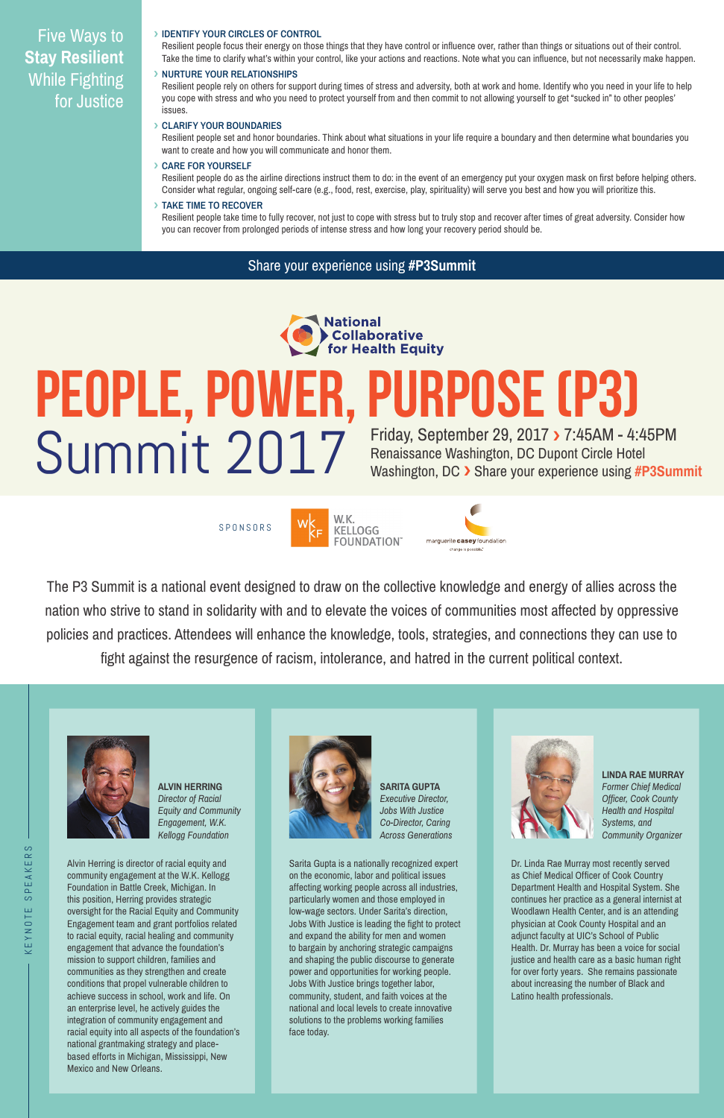The P3 Summit is a national event designed to draw on the collective knowledge and energy of allies across the nation who strive to stand in solidarity with and to elevate the voices of communities most affected by oppressive policies and practices. Attendees will enhance the knowledge, tools, strategies, and connections they can use to fight against the resurgence of racism, intolerance, and hatred in the current political context.









Alvin Herring is director of racial equity and community engagement at the W.K. Kellogg Foundation in Battle Creek, Michigan. In this position, Herring provides strategic oversight for the Racial Equity and Community Engagement team and grant portfolios related to racial equity, racial healing and community engagement that advance the foundation's mission to support children, families and communities as they strengthen and create conditions that propel vulnerable children to achieve success in school, work and life. On an enterprise level, he actively guides the integration of community engagement and racial equity into all aspects of the foundation's national grantmaking strategy and placebased efforts in Michigan, Mississippi, New Mexico and New Orleans.

Sarita Gupta is a nationally recognized expert on the economic, labor and political issues affecting working people across all industries, particularly women and those employed in low-wage sectors. Under Sarita's direction, Jobs With Justice is leading the fight to protect and expand the ability for men and women to bargain by anchoring strategic campaigns and shaping the public discourse to generate power and opportunities for working people. Jobs With Justice brings together labor, community, student, and faith voices at the national and local levels to create innovative solutions to the problems working families face today.

Dr. Linda Rae Murray most recently served as Chief Medical Officer of Cook Country Department Health and Hospital System. She continues her practice as a general internist at Woodlawn Health Center, and is an attending physician at Cook County Hospital and an adjunct faculty at UIC's School of Public Health. Dr. Murray has been a voice for social justice and health care as a basic human right for over forty years. She remains passionate about increasing the number of Black and Latino health professionals.

**ALVIN HERRING** *Director of Racial Equity and Community Engagement, W.K. Kellogg Foundation*



**SARITA GUPTA** *Executive Director, Jobs With Justice* 



*Co-Director, Caring Across Generations* **LINDA RAE MURRAY** *Former Chief Medical Officer, Cook County Health and Hospital* 

*Systems, and Community Organizer*

#### **IDENTIFY YOUR CIRCLES OF CONTROL**

Resilient people focus their energy on those things that they have control or influence over, rather than things or situations out of their control. Take the time to clarify what's within your control, like your actions and reactions. Note what you can influence, but not necessarily make happen.

#### **NURTURE YOUR RELATIONSHIPS**

Resilient people rely on others for support during times of stress and adversity, both at work and home. Identify who you need in your life to help you cope with stress and who you need to protect yourself from and then commit to not allowing yourself to get "sucked in" to other peoples' issues.

#### **CLARIFY YOUR BOUNDARIES**

Resilient people set and honor boundaries. Think about what situations in your life require a boundary and then determine what boundaries you want to create and how you will communicate and honor them.

#### **CARE FOR YOURSELF**

Resilient people do as the airline directions instruct them to do: in the event of an emergency put your oxygen mask on first before helping others. Consider what regular, ongoing self-care (e.g., food, rest, exercise, play, spirituality) will serve you best and how you will prioritize this.

#### **TAKE TIME TO RECOVER**

Resilient people take time to fully recover, not just to cope with stress but to truly stop and recover after times of great adversity. Consider how you can recover from prolonged periods of intense stress and how long your recovery period should be.

# Five Ways to **Stay Resilient**  While Fighting for Justice

## Share your experience using **#P3Summit**



# Summit 2017 Friday, September 29, 2017 > 7:45AM - 4:45PM<br>Washington, DC Dupont Circle Hotel<br>Washington, DC > Share your experience using **#P3Summit PEOPLE, POWER, PURPOSE (P3)**<br>Contact the Contact of Criday, September 29, 2017 > 7:45AM - 4:45PM